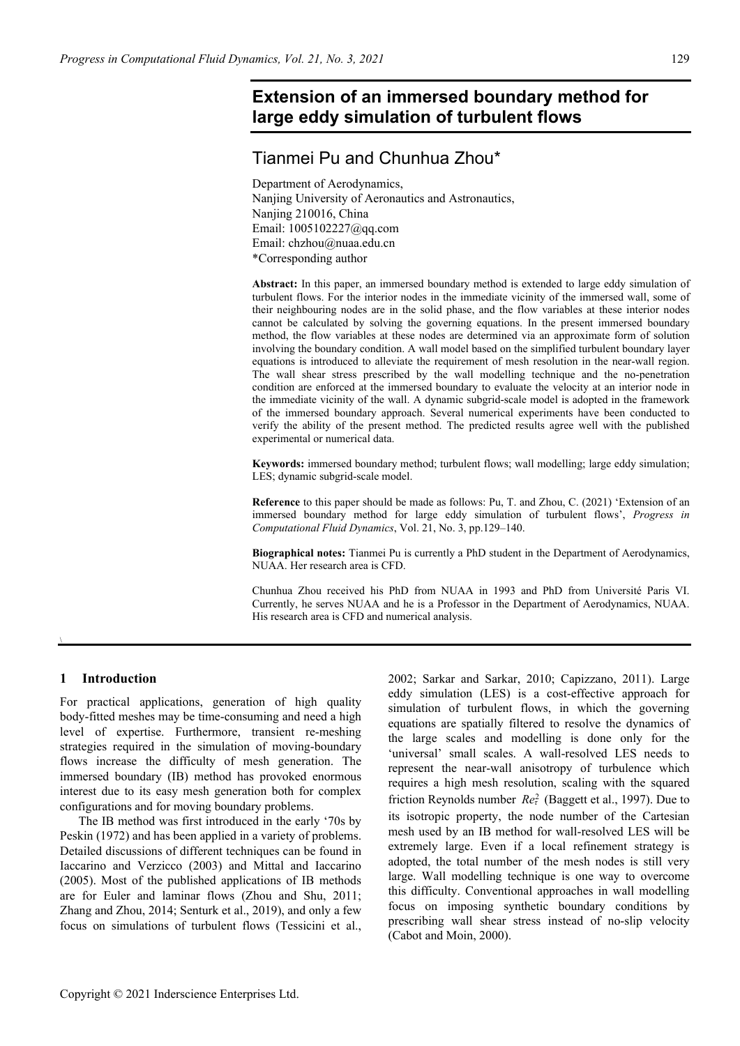# **Extension of an immersed boundary method for large eddy simulation of turbulent flows**

# Tianmei Pu and Chunhua Zhou\*

Department of Aerodynamics, Nanjing University of Aeronautics and Astronautics, Nanjing 210016, China Email: 1005102227@qq.com Email: chzhou@nuaa.edu.cn \*Corresponding author

**Abstract:** In this paper, an immersed boundary method is extended to large eddy simulation of turbulent flows. For the interior nodes in the immediate vicinity of the immersed wall, some of their neighbouring nodes are in the solid phase, and the flow variables at these interior nodes cannot be calculated by solving the governing equations. In the present immersed boundary method, the flow variables at these nodes are determined via an approximate form of solution involving the boundary condition. A wall model based on the simplified turbulent boundary layer equations is introduced to alleviate the requirement of mesh resolution in the near-wall region. The wall shear stress prescribed by the wall modelling technique and the no-penetration condition are enforced at the immersed boundary to evaluate the velocity at an interior node in the immediate vicinity of the wall. A dynamic subgrid-scale model is adopted in the framework of the immersed boundary approach. Several numerical experiments have been conducted to verify the ability of the present method. The predicted results agree well with the published experimental or numerical data.

**Keywords:** immersed boundary method; turbulent flows; wall modelling; large eddy simulation; LES; dynamic subgrid-scale model.

**Reference** to this paper should be made as follows: Pu, T. and Zhou, C. (2021) 'Extension of an immersed boundary method for large eddy simulation of turbulent flows', *Progress in Computational Fluid Dynamics*, Vol. 21, No. 3, pp.129–140.

**Biographical notes:** Tianmei Pu is currently a PhD student in the Department of Aerodynamics, NUAA. Her research area is CFD.

Chunhua Zhou received his PhD from NUAA in 1993 and PhD from Université Paris VI. Currently, he serves NUAA and he is a Professor in the Department of Aerodynamics, NUAA. His research area is CFD and numerical analysis.

## **1 Introduction**

\

For practical applications, generation of high quality body-fitted meshes may be time-consuming and need a high level of expertise. Furthermore, transient re-meshing strategies required in the simulation of moving-boundary flows increase the difficulty of mesh generation. The immersed boundary (IB) method has provoked enormous interest due to its easy mesh generation both for complex configurations and for moving boundary problems.

The IB method was first introduced in the early '70s by Peskin (1972) and has been applied in a variety of problems. Detailed discussions of different techniques can be found in Iaccarino and Verzicco (2003) and Mittal and Iaccarino (2005). Most of the published applications of IB methods are for Euler and laminar flows (Zhou and Shu, 2011; Zhang and Zhou, 2014; Senturk et al., 2019), and only a few focus on simulations of turbulent flows (Tessicini et al.,

2002; Sarkar and Sarkar, 2010; Capizzano, 2011). Large eddy simulation (LES) is a cost-effective approach for simulation of turbulent flows, in which the governing equations are spatially filtered to resolve the dynamics of the large scales and modelling is done only for the 'universal' small scales. A wall-resolved LES needs to represent the near-wall anisotropy of turbulence which requires a high mesh resolution, scaling with the squared friction Reynolds number  $Re^2$  (Baggett et al., 1997). Due to its isotropic property, the node number of the Cartesian mesh used by an IB method for wall-resolved LES will be extremely large. Even if a local refinement strategy is adopted, the total number of the mesh nodes is still very large. Wall modelling technique is one way to overcome this difficulty. Conventional approaches in wall modelling focus on imposing synthetic boundary conditions by prescribing wall shear stress instead of no-slip velocity (Cabot and Moin, 2000).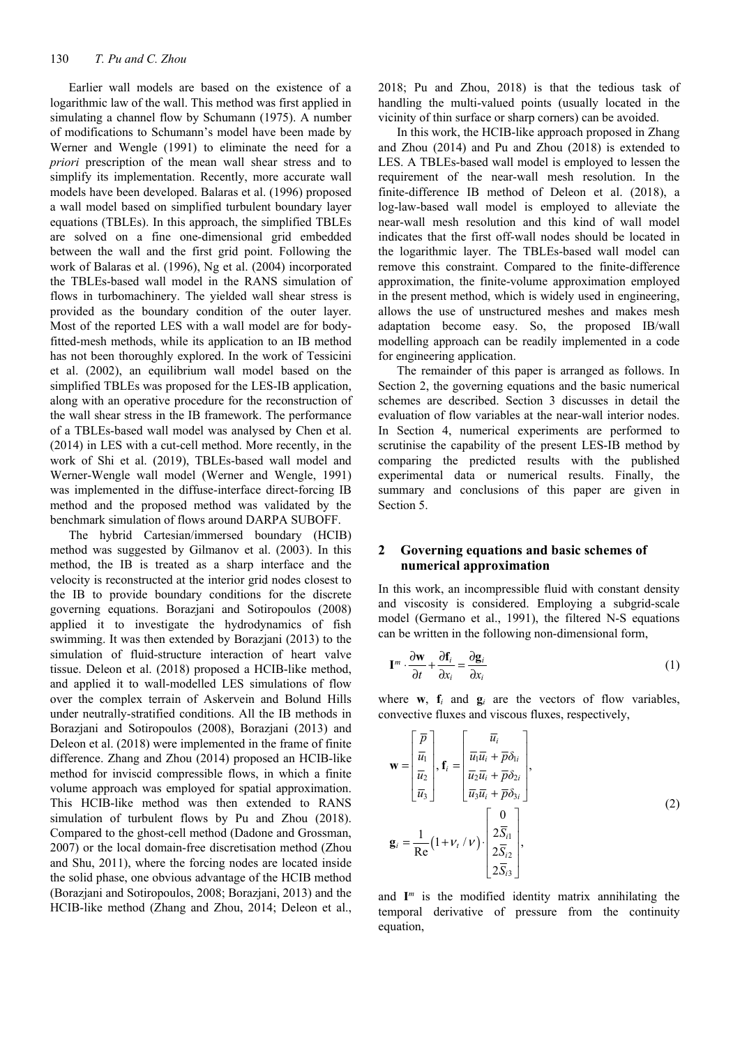Earlier wall models are based on the existence of a logarithmic law of the wall. This method was first applied in simulating a channel flow by Schumann (1975). A number of modifications to Schumann's model have been made by Werner and Wengle (1991) to eliminate the need for a *priori* prescription of the mean wall shear stress and to simplify its implementation. Recently, more accurate wall models have been developed. Balaras et al. (1996) proposed a wall model based on simplified turbulent boundary layer equations (TBLEs). In this approach, the simplified TBLEs are solved on a fine one-dimensional grid embedded between the wall and the first grid point. Following the work of Balaras et al. (1996), Ng et al. (2004) incorporated the TBLEs-based wall model in the RANS simulation of flows in turbomachinery. The yielded wall shear stress is provided as the boundary condition of the outer layer. Most of the reported LES with a wall model are for bodyfitted-mesh methods, while its application to an IB method has not been thoroughly explored. In the work of Tessicini et al. (2002), an equilibrium wall model based on the simplified TBLEs was proposed for the LES-IB application, along with an operative procedure for the reconstruction of the wall shear stress in the IB framework. The performance of a TBLEs-based wall model was analysed by Chen et al. (2014) in LES with a cut-cell method. More recently, in the work of Shi et al. (2019), TBLEs-based wall model and Werner-Wengle wall model (Werner and Wengle, 1991) was implemented in the diffuse-interface direct-forcing IB method and the proposed method was validated by the benchmark simulation of flows around DARPA SUBOFF.

The hybrid Cartesian/immersed boundary (HCIB) method was suggested by Gilmanov et al. (2003). In this method, the IB is treated as a sharp interface and the velocity is reconstructed at the interior grid nodes closest to the IB to provide boundary conditions for the discrete governing equations. Borazjani and Sotiropoulos (2008) applied it to investigate the hydrodynamics of fish swimming. It was then extended by Borazjani (2013) to the simulation of fluid-structure interaction of heart valve tissue. Deleon et al. (2018) proposed a HCIB-like method, and applied it to wall-modelled LES simulations of flow over the complex terrain of Askervein and Bolund Hills under neutrally-stratified conditions. All the IB methods in Borazjani and Sotiropoulos (2008), Borazjani (2013) and Deleon et al. (2018) were implemented in the frame of finite difference. Zhang and Zhou (2014) proposed an HCIB-like method for inviscid compressible flows, in which a finite volume approach was employed for spatial approximation. This HCIB-like method was then extended to RANS simulation of turbulent flows by Pu and Zhou (2018). Compared to the ghost-cell method (Dadone and Grossman, 2007) or the local domain-free discretisation method (Zhou and Shu, 2011), where the forcing nodes are located inside the solid phase, one obvious advantage of the HCIB method (Borazjani and Sotiropoulos, 2008; Borazjani, 2013) and the HCIB-like method (Zhang and Zhou, 2014; Deleon et al., 2018; Pu and Zhou, 2018) is that the tedious task of handling the multi-valued points (usually located in the vicinity of thin surface or sharp corners) can be avoided.

In this work, the HCIB-like approach proposed in Zhang and Zhou (2014) and Pu and Zhou (2018) is extended to LES. A TBLEs-based wall model is employed to lessen the requirement of the near-wall mesh resolution. In the finite-difference IB method of Deleon et al. (2018), a log-law-based wall model is employed to alleviate the near-wall mesh resolution and this kind of wall model indicates that the first off-wall nodes should be located in the logarithmic layer. The TBLEs-based wall model can remove this constraint. Compared to the finite-difference approximation, the finite-volume approximation employed in the present method, which is widely used in engineering, allows the use of unstructured meshes and makes mesh adaptation become easy. So, the proposed IB/wall modelling approach can be readily implemented in a code for engineering application.

The remainder of this paper is arranged as follows. In Section 2, the governing equations and the basic numerical schemes are described. Section 3 discusses in detail the evaluation of flow variables at the near-wall interior nodes. In Section 4, numerical experiments are performed to scrutinise the capability of the present LES-IB method by comparing the predicted results with the published experimental data or numerical results. Finally, the summary and conclusions of this paper are given in Section 5.

## **2 Governing equations and basic schemes of numerical approximation**

In this work, an incompressible fluid with constant density and viscosity is considered. Employing a subgrid-scale model (Germano et al., 1991), the filtered N-S equations can be written in the following non-dimensional form,

$$
\mathbf{I}^{m} \cdot \frac{\partial \mathbf{w}}{\partial t} + \frac{\partial \mathbf{f}_{i}}{\partial x_{i}} = \frac{\partial \mathbf{g}_{i}}{\partial x_{i}} \tag{1}
$$

where  $\mathbf{w}$ ,  $\mathbf{f}_i$  and  $\mathbf{g}_i$  are the vectors of flow variables, convective fluxes and viscous fluxes, respectively,

$$
\mathbf{w} = \begin{bmatrix} \overline{p} \\ \overline{u_1} \\ \overline{u_2} \\ \overline{u_3} \end{bmatrix}, \mathbf{f}_i = \begin{bmatrix} \overline{u}_i \\ \overline{u_1} \overline{u}_i + \overline{p} \delta_{1i} \\ \overline{u_2} \overline{u}_i + \overline{p} \delta_{2i} \\ \overline{u_3} \overline{u}_i + \overline{p} \delta_{3i} \end{bmatrix},
$$
\n
$$
\mathbf{g}_i = \frac{1}{\text{Re}} (1 + v_t / v) \cdot \begin{bmatrix} 0 \\ 2\overline{S}_{i1} \\ 2\overline{S}_{i2} \\ 2\overline{S}_{i3} \end{bmatrix},
$$
\n(2)

and  $I^m$  is the modified identity matrix annihilating the temporal derivative of pressure from the continuity equation,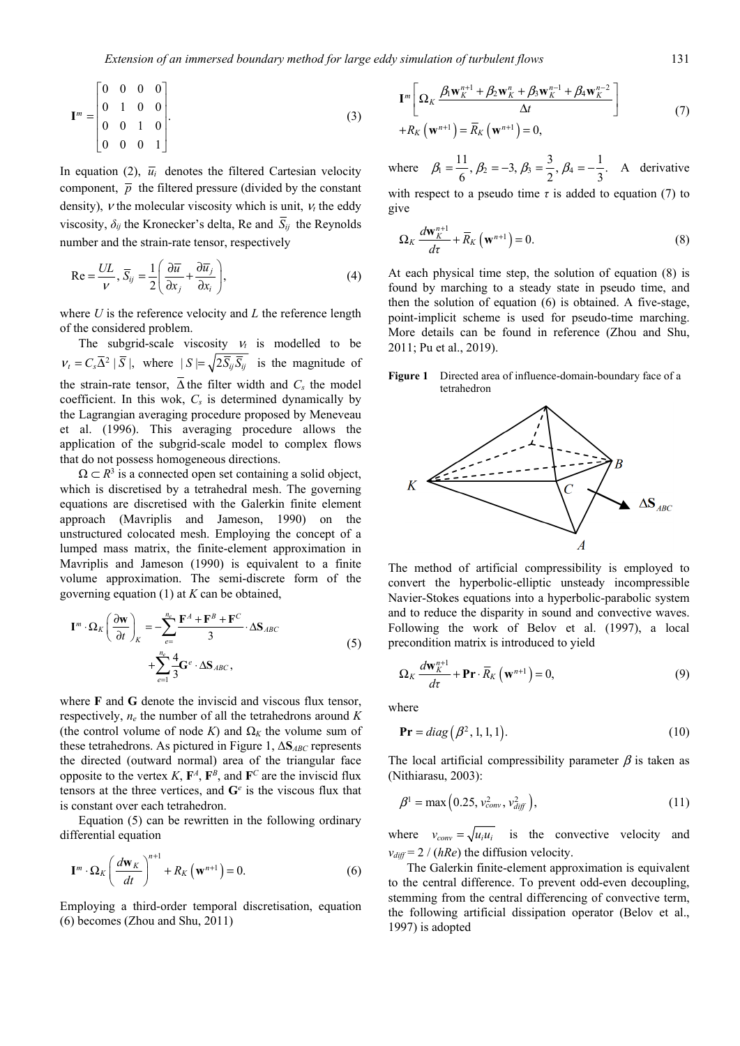$$
\mathbf{I}^{m} = \begin{bmatrix} 0 & 0 & 0 & 0 \\ 0 & 1 & 0 & 0 \\ 0 & 0 & 1 & 0 \\ 0 & 0 & 0 & 1 \end{bmatrix} . \tag{3}
$$

In equation (2),  $\bar{u}_i$  denotes the filtered Cartesian velocity component,  $\bar{p}$  the filtered pressure (divided by the constant density),  $\nu$  the molecular viscosity which is unit,  $\nu_t$  the eddy viscosity,  $\delta_{ij}$  the Kronecker's delta, Re and  $\overline{S}_{ij}$  the Reynolds number and the strain-rate tensor, respectively

$$
\text{Re} = \frac{UL}{V}, \overline{S}_{ij} = \frac{1}{2} \left( \frac{\partial \overline{u}}{\partial x_j} + \frac{\partial \overline{u}_j}{\partial x_i} \right),\tag{4}
$$

where *U* is the reference velocity and *L* the reference length of the considered problem.

The subgrid-scale viscosity  $v_t$  is modelled to be  $v_t = C_s \overline{\Delta}^2 | \overline{S} |$ , where  $|S| = \sqrt{2 \overline{S}_{ij} \overline{S}_{ij}}$  is the magnitude of the strain-rate tensor,  $\overline{\Delta}$  the filter width and  $C_s$  the model coefficient. In this wok, *Cs* is determined dynamically by the Lagrangian averaging procedure proposed by Meneveau et al. (1996). This averaging procedure allows the application of the subgrid-scale model to complex flows that do not possess homogeneous directions.

 $\Omega \subset \mathbb{R}^3$  is a connected open set containing a solid object, which is discretised by a tetrahedral mesh. The governing equations are discretised with the Galerkin finite element approach (Mavriplis and Jameson, 1990) on the unstructured colocated mesh. Employing the concept of a lumped mass matrix, the finite-element approximation in Mavriplis and Jameson (1990) is equivalent to a finite volume approximation. The semi-discrete form of the governing equation (1) at *K* can be obtained,

$$
\mathbf{I}^{m} \cdot \Omega_{K} \left( \frac{\partial \mathbf{w}}{\partial t} \right)_{K} = -\sum_{e=1}^{n_{e}} \frac{\mathbf{F}^{A} + \mathbf{F}^{B} + \mathbf{F}^{C}}{3} \cdot \Delta \mathbf{S}_{ABC}
$$
\n
$$
+ \sum_{e=1}^{n_{e}} \frac{4}{3} \mathbf{G}^{e} \cdot \Delta \mathbf{S}_{ABC},
$$
\n(5)

where **F** and **G** denote the inviscid and viscous flux tensor, respectively, *ne* the number of all the tetrahedrons around *K* (the control volume of node *K*) and  $\Omega_K$  the volume sum of these tetrahedrons. As pictured in Figure 1, Δ**S***ABC* represents the directed (outward normal) area of the triangular face opposite to the vertex *K*,  $\mathbf{F}^A$ ,  $\mathbf{F}^B$ , and  $\mathbf{F}^C$  are the inviscid flux tensors at the three vertices, and  $G^e$  is the viscous flux that is constant over each tetrahedron.

Equation (5) can be rewritten in the following ordinary differential equation

$$
\mathbf{I}^{m} \cdot \Omega_{K} \left( \frac{d\mathbf{w}_{K}}{dt} \right)^{n+1} + R_{K} \left( \mathbf{w}^{n+1} \right) = 0. \tag{6}
$$

Employing a third-order temporal discretisation, equation (6) becomes (Zhou and Shu, 2011)

$$
\mathbf{I}^{m} \left[ \Omega_{K} \frac{\beta_{1} \mathbf{w}_{K}^{n+1} + \beta_{2} \mathbf{w}_{K}^{n} + \beta_{3} \mathbf{w}_{K}^{n-1} + \beta_{4} \mathbf{w}_{K}^{n-2}}{\Delta t} \right] + R_{K} \left( \mathbf{w}^{n+1} \right) = \overline{R}_{K} \left( \mathbf{w}^{n+1} \right) = 0, \tag{7}
$$

where  $\beta_1 = \frac{11}{6}$ ,  $\beta_2 = -3$ ,  $\beta_3 = \frac{3}{2}$ ,  $\beta_4 = -\frac{1}{3}$ . A derivative with respect to a pseudo time  $\tau$  is added to equation (7) to

give

$$
\Omega_K \frac{d\mathbf{w}_K^{n+1}}{d\tau} + \overline{R}_K \left( \mathbf{w}^{n+1} \right) = 0. \tag{8}
$$

At each physical time step, the solution of equation (8) is found by marching to a steady state in pseudo time, and then the solution of equation (6) is obtained. A five-stage, point-implicit scheme is used for pseudo-time marching. More details can be found in reference (Zhou and Shu, 2011; Pu et al., 2019).

**Figure 1** Directed area of influence-domain-boundary face of a tetrahedron



The method of artificial compressibility is employed to convert the hyperbolic-elliptic unsteady incompressible Navier-Stokes equations into a hyperbolic-parabolic system and to reduce the disparity in sound and convective waves. Following the work of Belov et al. (1997), a local precondition matrix is introduced to yield

$$
\Omega_K \frac{d\mathbf{w}_K^{n+1}}{d\tau} + \mathbf{Pr} \cdot \overline{R}_K \left( \mathbf{w}^{n+1} \right) = 0, \tag{9}
$$

where

$$
\mathbf{Pr} = diag(\beta^2, 1, 1, 1). \tag{10}
$$

The local artificial compressibility parameter  $\beta$  is taken as (Nithiarasu, 2003):

$$
\beta^1 = \max\left(0.25, v_{conv}^2, v_{diff}^2\right),\tag{11}
$$

where  $v_{conv} = \sqrt{u_i u_i}$  is the convective velocity and  $v_{diff} = 2 / (hRe)$  the diffusion velocity.

The Galerkin finite-element approximation is equivalent to the central difference. To prevent odd-even decoupling, stemming from the central differencing of convective term, the following artificial dissipation operator (Belov et al., 1997) is adopted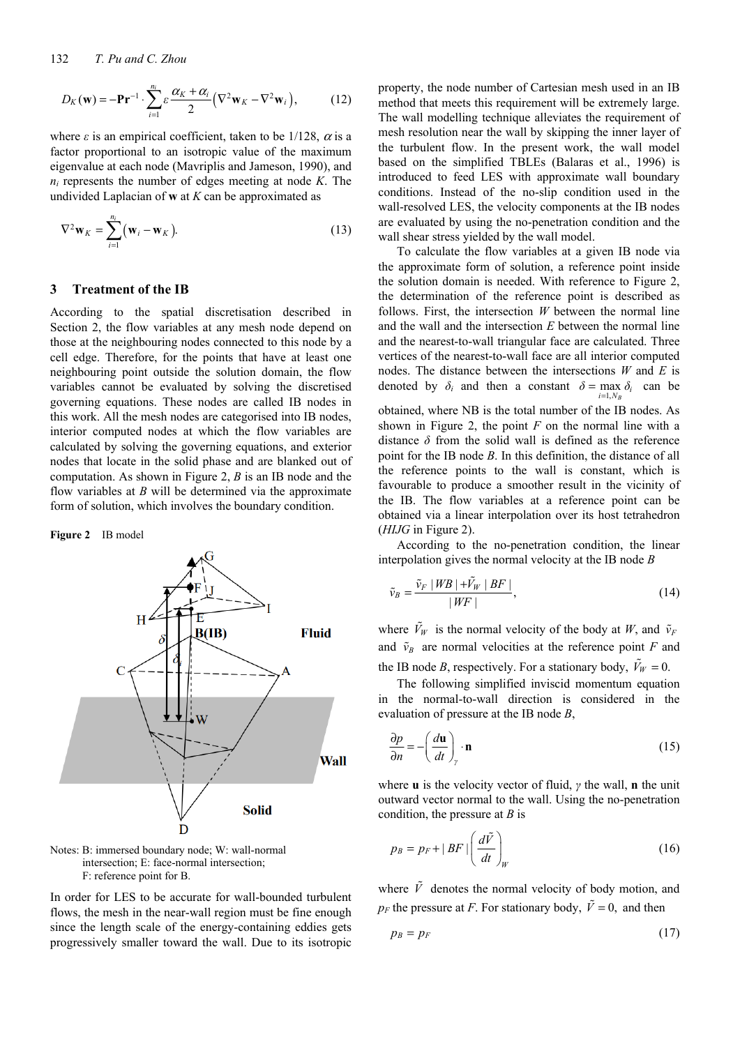$$
D_K(\mathbf{w}) = -\mathbf{Pr}^{-1} \cdot \sum_{i=1}^{n_i} \varepsilon \frac{\alpha_K + \alpha_i}{2} (\nabla^2 \mathbf{w}_K - \nabla^2 \mathbf{w}_i), \quad (12)
$$

where  $\varepsilon$  is an empirical coefficient, taken to be 1/128,  $\alpha$  is a factor proportional to an isotropic value of the maximum eigenvalue at each node (Mavriplis and Jameson, 1990), and *ni* represents the number of edges meeting at node *K*. The undivided Laplacian of **w** at *K* can be approximated as

$$
\nabla^2 \mathbf{w}_K = \sum_{i=1}^{n_i} (\mathbf{w}_i - \mathbf{w}_K).
$$
 (13)

## **3 Treatment of the IB**

According to the spatial discretisation described in Section 2, the flow variables at any mesh node depend on those at the neighbouring nodes connected to this node by a cell edge. Therefore, for the points that have at least one neighbouring point outside the solution domain, the flow variables cannot be evaluated by solving the discretised governing equations. These nodes are called IB nodes in this work. All the mesh nodes are categorised into IB nodes, interior computed nodes at which the flow variables are calculated by solving the governing equations, and exterior nodes that locate in the solid phase and are blanked out of computation. As shown in Figure 2, *B* is an IB node and the flow variables at *B* will be determined via the approximate form of solution, which involves the boundary condition.

#### **Figure 2** IB model





In order for LES to be accurate for wall-bounded turbulent flows, the mesh in the near-wall region must be fine enough since the length scale of the energy-containing eddies gets progressively smaller toward the wall. Due to its isotropic

property, the node number of Cartesian mesh used in an IB method that meets this requirement will be extremely large. The wall modelling technique alleviates the requirement of mesh resolution near the wall by skipping the inner layer of the turbulent flow. In the present work, the wall model based on the simplified TBLEs (Balaras et al., 1996) is introduced to feed LES with approximate wall boundary conditions. Instead of the no-slip condition used in the wall-resolved LES, the velocity components at the IB nodes are evaluated by using the no-penetration condition and the wall shear stress yielded by the wall model.

To calculate the flow variables at a given IB node via the approximate form of solution, a reference point inside the solution domain is needed. With reference to Figure 2, the determination of the reference point is described as follows. First, the intersection *W* between the normal line and the wall and the intersection *E* between the normal line and the nearest-to-wall triangular face are calculated. Three vertices of the nearest-to-wall face are all interior computed nodes. The distance between the intersections *W* and *E* is denoted by  $\delta_i$  and then a constant  $\delta = \max_{i=1, N_B} \delta_i$  can be 1, *B* obtained, where NB is the total number of the IB nodes. As shown in Figure 2, the point *F* on the normal line with a distance  $\delta$  from the solid wall is defined as the reference point for the IB node *B*. In this definition, the distance of all the reference points to the wall is constant, which is favourable to produce a smoother result in the vicinity of the IB. The flow variables at a reference point can be obtained via a linear interpolation over its host tetrahedron (*HIJG* in Figure 2).

According to the no-penetration condition, the linear interpolation gives the normal velocity at the IB node *B*

$$
\tilde{\nu}_B = \frac{\tilde{\nu}_F \mid WB \mid + \tilde{V}_W \mid BF \mid}{\mid WF \mid},\tag{14}
$$

where  $\tilde{V}_W$  is the normal velocity of the body at *W*, and  $\tilde{v}_F$ and  $\tilde{v}_B$  are normal velocities at the reference point *F* and the IB node *B*, respectively. For a stationary body,  $\tilde{V}_W = 0$ .

The following simplified inviscid momentum equation in the normal-to-wall direction is considered in the evaluation of pressure at the IB node *B*,

$$
\frac{\partial p}{\partial n} = -\left(\frac{d\mathbf{u}}{dt}\right)_y \cdot \mathbf{n}
$$
 (15)

where **u** is the velocity vector of fluid, *γ* the wall, **n** the unit outward vector normal to the wall. Using the no-penetration condition, the pressure at *B* is

$$
p_B = p_F + |BF| \left(\frac{d\tilde{V}}{dt}\right)_W
$$
 (16)

where  $\tilde{V}$  denotes the normal velocity of body motion, and  $p_F$  the pressure at *F*. For stationary body,  $\tilde{V} = 0$ , and then

$$
p_B = p_F \tag{17}
$$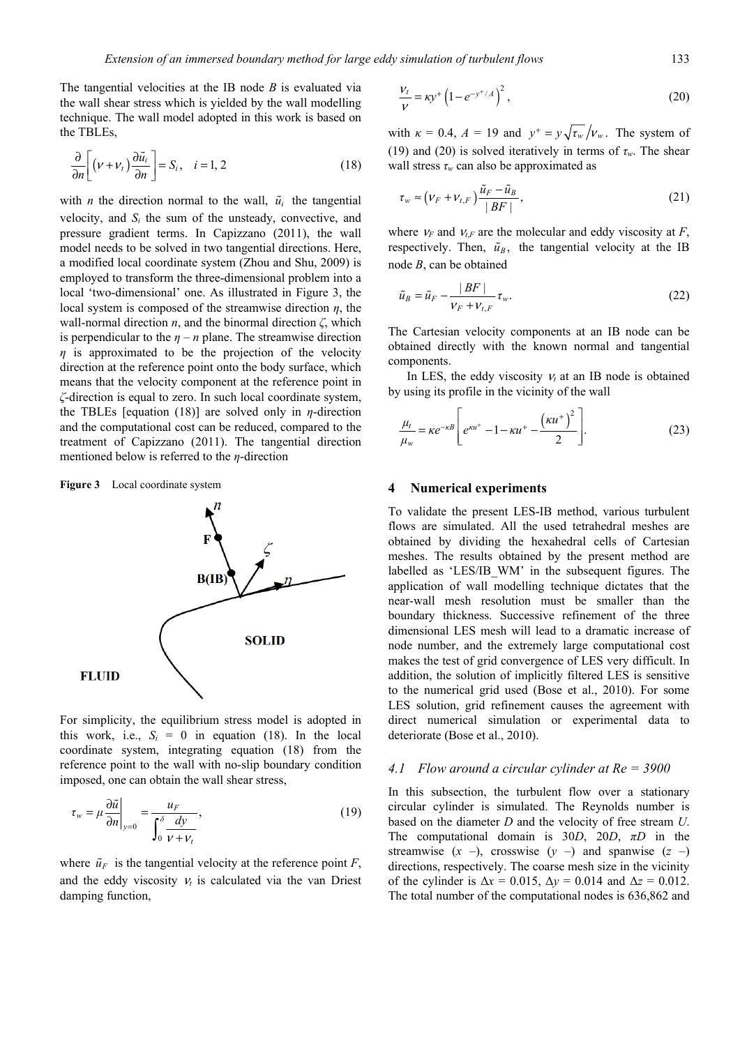The tangential velocities at the IB node *B* is evaluated via the wall shear stress which is yielded by the wall modelling technique. The wall model adopted in this work is based on the TBLEs,

$$
\frac{\partial}{\partial n} \left[ \left( \nu + \nu_t \right) \frac{\partial \tilde{u}_i}{\partial n} \right] = S_i, \quad i = 1, 2 \tag{18}
$$

with *n* the direction normal to the wall,  $\tilde{u}_i$  the tangential velocity, and  $S_i$  the sum of the unsteady, convective, and pressure gradient terms. In Capizzano (2011), the wall model needs to be solved in two tangential directions. Here, a modified local coordinate system (Zhou and Shu, 2009) is employed to transform the three-dimensional problem into a local 'two-dimensional' one. As illustrated in Figure 3, the local system is composed of the streamwise direction *η*, the wall-normal direction *n*, and the binormal direction *ζ*, which is perpendicular to the  $\eta - n$  plane. The streamwise direction *η* is approximated to be the projection of the velocity direction at the reference point onto the body surface, which means that the velocity component at the reference point in *ζ*-direction is equal to zero. In such local coordinate system, the TBLEs [equation (18)] are solved only in *η*-direction and the computational cost can be reduced, compared to the treatment of Capizzano (2011). The tangential direction mentioned below is referred to the *η*-direction





For simplicity, the equilibrium stress model is adopted in this work, i.e.,  $S_i = 0$  in equation (18). In the local coordinate system, integrating equation (18) from the reference point to the wall with no-slip boundary condition imposed, one can obtain the wall shear stress,

$$
\tau_w = \mu \frac{\partial \tilde{u}}{\partial n}\bigg|_{y=0} = \frac{u_F}{\int_0^\delta \frac{dy}{\nu + v_t}},\tag{19}
$$

where  $\tilde{u}_F$  is the tangential velocity at the reference point *F*, and the eddy viscosity  $v_t$  is calculated via the van Driest damping function,

$$
\frac{V_t}{V} = \kappa y^+ \left( 1 - e^{-y^+/A} \right)^2, \tag{20}
$$

with  $\kappa = 0.4$ ,  $A = 19$  and  $y^+ = y\sqrt{\tau_w}/v_w$ . The system of (19) and (20) is solved iteratively in terms of *τw*. The shear wall stress  $\tau_w$  can also be approximated as

$$
\tau_w \approx \left(\nu_F + \nu_{t,F}\right) \frac{\tilde{u}_F - \tilde{u}_B}{|BF|},\tag{21}
$$

where  $v_F$  and  $v_{t,F}$  are the molecular and eddy viscosity at *F*, respectively. Then,  $\tilde{u}_B$ , the tangential velocity at the IB node *B*, can be obtained

$$
\tilde{u}_B = \tilde{u}_F - \frac{|BF|}{V_F + V_{t,F}} \tau_w.
$$
\n(22)

The Cartesian velocity components at an IB node can be obtained directly with the known normal and tangential components.

In LES, the eddy viscosity  $V_t$  at an IB node is obtained by using its profile in the vicinity of the wall

$$
\frac{\mu_t}{\mu_w} = \kappa e^{-\kappa B} \left[ e^{\kappa u^+} - 1 - \kappa u^+ - \frac{(\kappa u^+)^2}{2} \right].
$$
 (23)

#### **4 Numerical experiments**

To validate the present LES-IB method, various turbulent flows are simulated. All the used tetrahedral meshes are obtained by dividing the hexahedral cells of Cartesian meshes. The results obtained by the present method are labelled as 'LES/IB\_WM' in the subsequent figures. The application of wall modelling technique dictates that the near-wall mesh resolution must be smaller than the boundary thickness. Successive refinement of the three dimensional LES mesh will lead to a dramatic increase of node number, and the extremely large computational cost makes the test of grid convergence of LES very difficult. In addition, the solution of implicitly filtered LES is sensitive to the numerical grid used (Bose et al., 2010). For some LES solution, grid refinement causes the agreement with direct numerical simulation or experimental data to deteriorate (Bose et al., 2010).

## *4.1 Flow around a circular cylinder at Re = 3900*

In this subsection, the turbulent flow over a stationary circular cylinder is simulated. The Reynolds number is based on the diameter *D* and the velocity of free stream *U*. The computational domain is 30*D*, 20*D*, *πD* in the streamwise  $(x -)$ , crosswise  $(y -)$  and spanwise  $(z -)$ directions, respectively. The coarse mesh size in the vicinity of the cylinder is  $\Delta x = 0.015$ ,  $\Delta y = 0.014$  and  $\Delta z = 0.012$ . The total number of the computational nodes is 636,862 and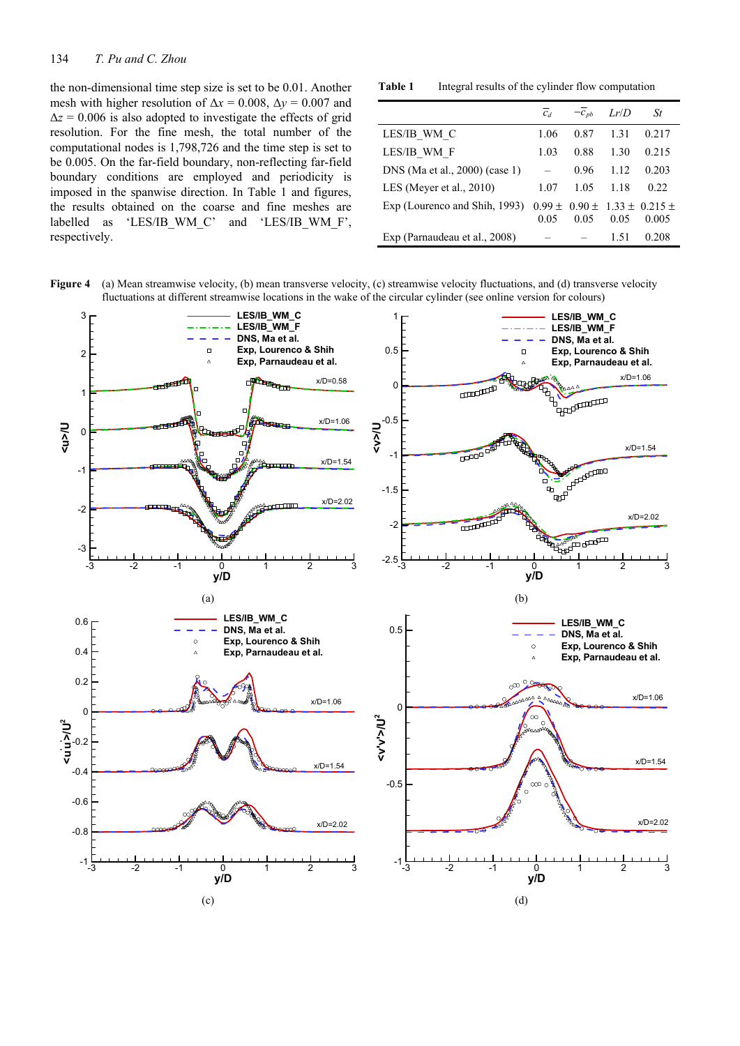#### 134 *T. Pu and C. Zhou*

the non-dimensional time step size is set to be 0.01. Another mesh with higher resolution of  $\Delta x = 0.008$ ,  $\Delta y = 0.007$  and  $\Delta z = 0.006$  is also adopted to investigate the effects of grid resolution. For the fine mesh, the total number of the computational nodes is 1,798,726 and the time step is set to be 0.005. On the far-field boundary, non-reflecting far-field boundary conditions are employed and periodicity is imposed in the spanwise direction. In Table 1 and figures, the results obtained on the coarse and fine meshes are labelled as 'LES/IB\_WM\_C' and 'LES/IB\_WM\_F', respectively.

**Table 1** Integral results of the cylinder flow computation

|                                | $C_d$ | $-\bar{c}_{pb}$ | Lr/D | St                                                   |
|--------------------------------|-------|-----------------|------|------------------------------------------------------|
| LES/IB WM C                    | 1.06  | 0.87            | 1.31 | 0.217                                                |
| LES/IB WM F                    | 1.03  | 0.88            | 1.30 | 0.215                                                |
| DNS (Ma et al., 2000) (case 1) |       | 0.96            | 1.12 | 0.203                                                |
| LES (Meyer et al., 2010)       | 1.07  | 1.05            | 1.18 | 0.22                                                 |
| Exp (Lourenco and Shih, 1993)  | 0.05  | 0.05            | 0.05 | $0.99 \pm 0.90 \pm 1.33 \pm 0.215 \pm 1.33$<br>0.005 |
| Exp (Parnaudeau et al., 2008)  |       |                 | 1.51 | 0.208                                                |



**Figure 4** (a) Mean streamwise velocity, (b) mean transverse velocity, (c) streamwise velocity fluctuations, and (d) transverse velocity fluctuations at different streamwise locations in the wake of the circular cylinder (see online version for colours)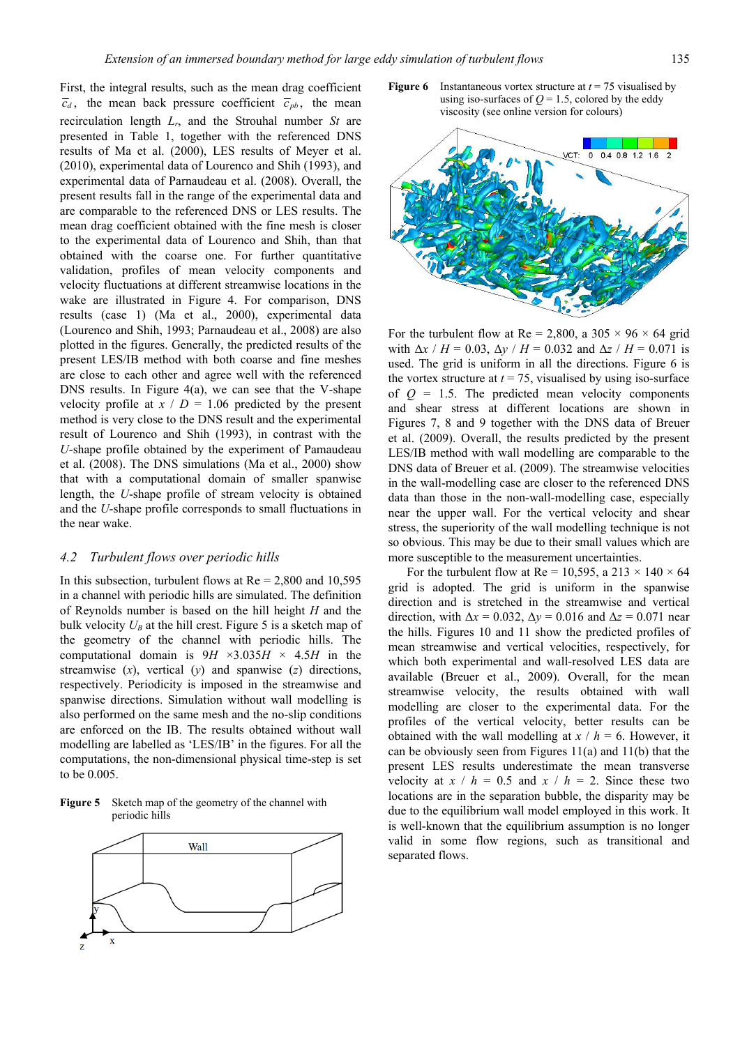First, the integral results, such as the mean drag coefficient  $\overline{c}_d$ , the mean back pressure coefficient  $\overline{c}_{ab}$ , the mean recirculation length *Lr*, and the Strouhal number *St* are presented in Table 1, together with the referenced DNS results of Ma et al. (2000), LES results of Meyer et al. (2010), experimental data of Lourenco and Shih (1993), and experimental data of Parnaudeau et al. (2008). Overall, the present results fall in the range of the experimental data and are comparable to the referenced DNS or LES results. The mean drag coefficient obtained with the fine mesh is closer to the experimental data of Lourenco and Shih, than that obtained with the coarse one. For further quantitative validation, profiles of mean velocity components and velocity fluctuations at different streamwise locations in the wake are illustrated in Figure 4. For comparison, DNS results (case 1) (Ma et al., 2000), experimental data (Lourenco and Shih, 1993; Parnaudeau et al., 2008) are also plotted in the figures. Generally, the predicted results of the present LES/IB method with both coarse and fine meshes are close to each other and agree well with the referenced DNS results. In Figure 4(a), we can see that the V-shape velocity profile at  $x / D = 1.06$  predicted by the present method is very close to the DNS result and the experimental result of Lourenco and Shih (1993), in contrast with the *U*-shape profile obtained by the experiment of Pamaudeau et al. (2008). The DNS simulations (Ma et al., 2000) show that with a computational domain of smaller spanwise length, the *U*-shape profile of stream velocity is obtained and the *U*-shape profile corresponds to small fluctuations in the near wake.

#### *4.2 Turbulent flows over periodic hills*

In this subsection, turbulent flows at  $Re = 2,800$  and 10,595 in a channel with periodic hills are simulated. The definition of Reynolds number is based on the hill height *H* and the bulk velocity  $U_B$  at the hill crest. Figure 5 is a sketch map of the geometry of the channel with periodic hills. The computational domain is  $9H \times 3.035H \times 4.5H$  in the streamwise (*x*), vertical (*y*) and spanwise (*z*) directions, respectively. Periodicity is imposed in the streamwise and spanwise directions. Simulation without wall modelling is also performed on the same mesh and the no-slip conditions are enforced on the IB. The results obtained without wall modelling are labelled as 'LES/IB' in the figures. For all the computations, the non-dimensional physical time-step is set to be 0.005.

**Figure 5** Sketch map of the geometry of the channel with periodic hills



**Figure 6** Instantaneous vortex structure at  $t = 75$  visualised by using iso-surfaces of  $Q = 1.5$ , colored by the eddy viscosity (see online version for colours)



For the turbulent flow at Re = 2,800, a 305  $\times$  96  $\times$  64 grid with Δ*x* / *H* = 0.03, Δ*y* / *H* = 0.032 and Δ*z* / *H* = 0.071 is used. The grid is uniform in all the directions. Figure 6 is the vortex structure at  $t = 75$ , visualised by using iso-surface of  $Q = 1.5$ . The predicted mean velocity components and shear stress at different locations are shown in Figures 7, 8 and 9 together with the DNS data of Breuer et al. (2009). Overall, the results predicted by the present LES/IB method with wall modelling are comparable to the DNS data of Breuer et al. (2009). The streamwise velocities in the wall-modelling case are closer to the referenced DNS data than those in the non-wall-modelling case, especially near the upper wall. For the vertical velocity and shear stress, the superiority of the wall modelling technique is not so obvious. This may be due to their small values which are more susceptible to the measurement uncertainties.

For the turbulent flow at Re = 10,595, a 213  $\times$  140  $\times$  64 grid is adopted. The grid is uniform in the spanwise direction and is stretched in the streamwise and vertical direction, with  $\Delta x = 0.032$ ,  $\Delta y = 0.016$  and  $\Delta z = 0.071$  near the hills. Figures 10 and 11 show the predicted profiles of mean streamwise and vertical velocities, respectively, for which both experimental and wall-resolved LES data are available (Breuer et al., 2009). Overall, for the mean streamwise velocity, the results obtained with wall modelling are closer to the experimental data. For the profiles of the vertical velocity, better results can be obtained with the wall modelling at  $x / h = 6$ . However, it can be obviously seen from Figures 11(a) and 11(b) that the present LES results underestimate the mean transverse velocity at  $x / h = 0.5$  and  $x / h = 2$ . Since these two locations are in the separation bubble, the disparity may be due to the equilibrium wall model employed in this work. It is well-known that the equilibrium assumption is no longer valid in some flow regions, such as transitional and separated flows.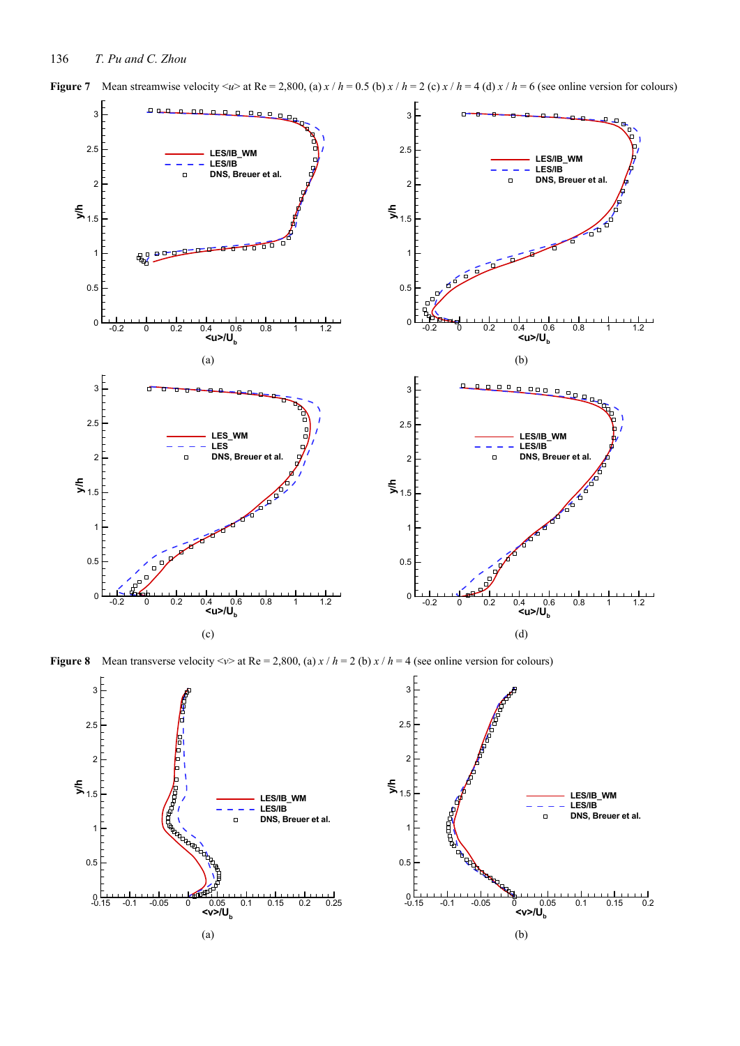



**Figure 8** Mean transverse velocity  $\langle v \rangle$  at Re = 2,800, (a)  $x / h = 2$  (b)  $x / h = 4$  (see online version for colours)

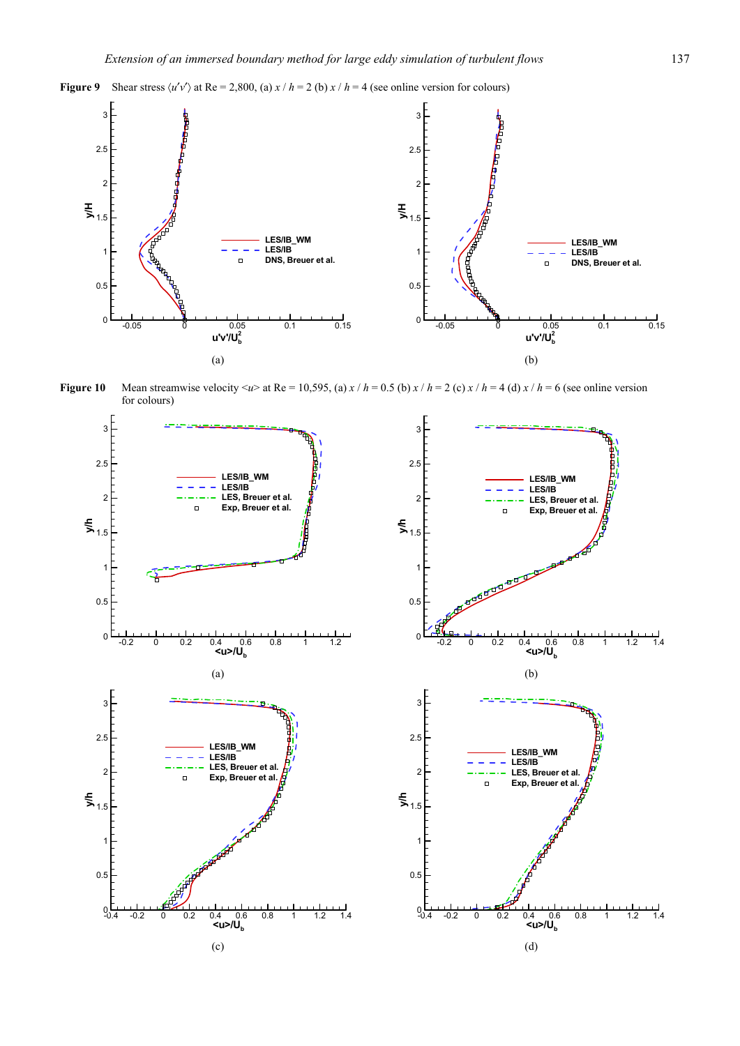



**Figure 10** Mean streamwise velocity  $\langle u \rangle$  at Re = 10,595, (a)  $x / h = 0.5$  (b)  $x / h = 2$  (c)  $x / h = 4$  (d)  $x / h = 6$  (see online version for colours)

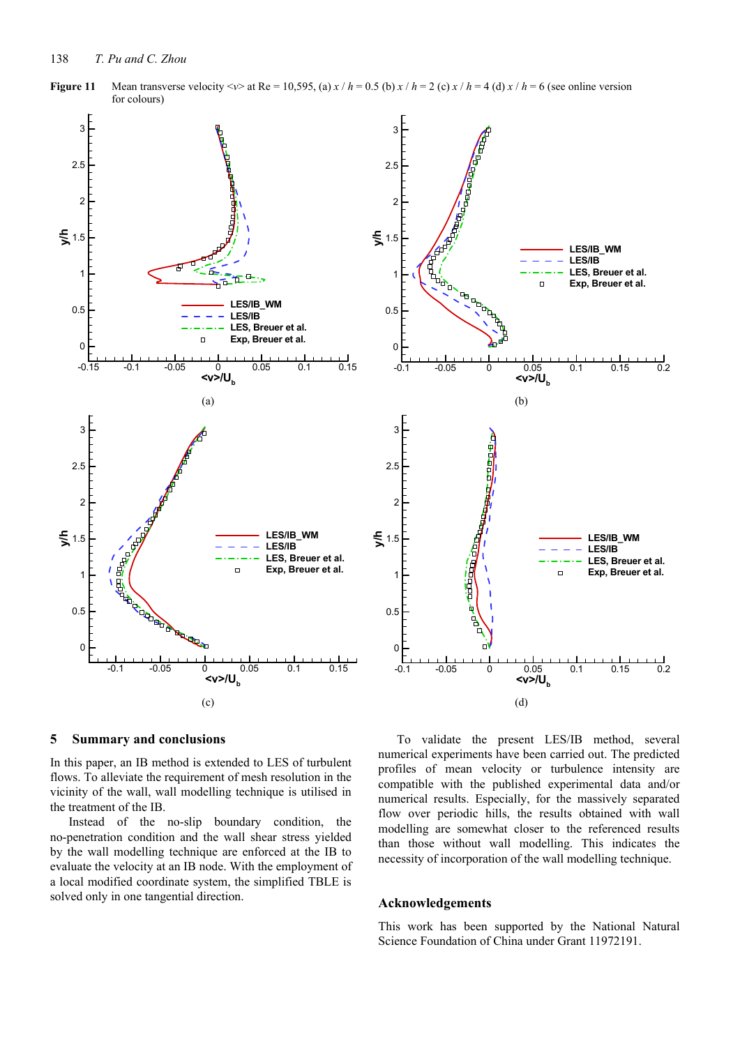

**Figure 11** Mean transverse velocity  $\langle \nu \rangle$  at Re = 10,595, (a)  $x/h = 0.5$  (b)  $x/h = 2$  (c)  $x/h = 4$  (d)  $x/h = 6$  (see online version for colours)

### **5 Summary and conclusions**

In this paper, an IB method is extended to LES of turbulent flows. To alleviate the requirement of mesh resolution in the vicinity of the wall, wall modelling technique is utilised in the treatment of the IB.

Instead of the no-slip boundary condition, the no-penetration condition and the wall shear stress yielded by the wall modelling technique are enforced at the IB to evaluate the velocity at an IB node. With the employment of a local modified coordinate system, the simplified TBLE is solved only in one tangential direction.

To validate the present LES/IB method, several numerical experiments have been carried out. The predicted profiles of mean velocity or turbulence intensity are compatible with the published experimental data and/or numerical results. Especially, for the massively separated flow over periodic hills, the results obtained with wall modelling are somewhat closer to the referenced results than those without wall modelling. This indicates the necessity of incorporation of the wall modelling technique.

## **Acknowledgements**

This work has been supported by the National Natural Science Foundation of China under Grant 11972191.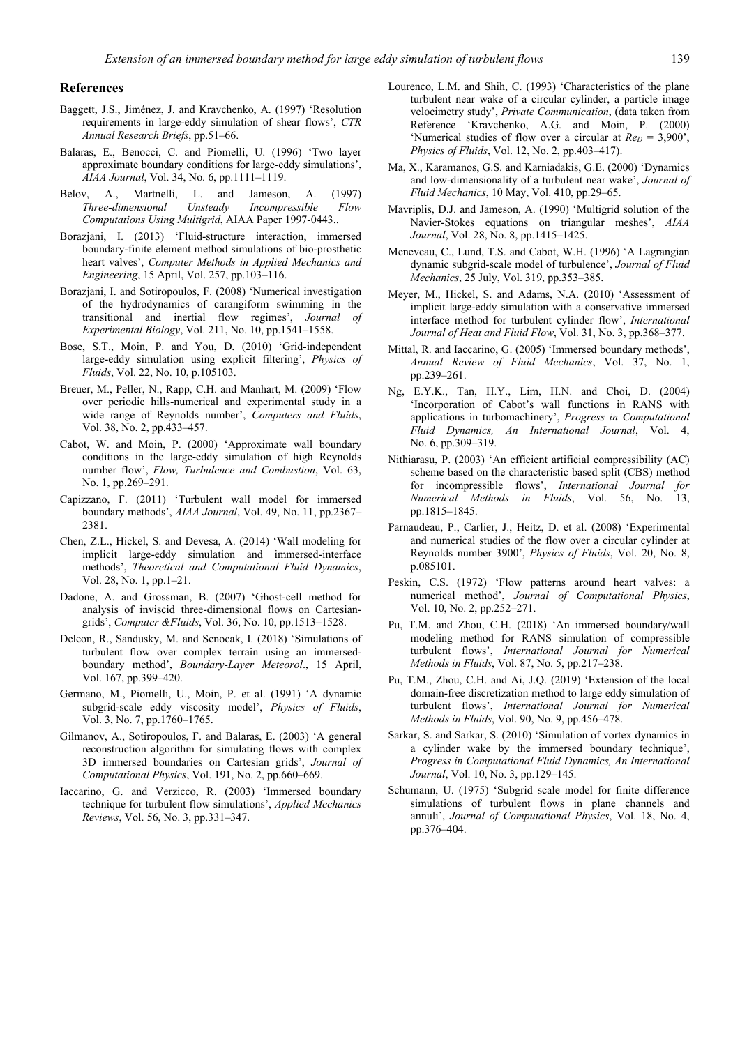## **References**

- Baggett, J.S., Jiménez, J. and Kravchenko, A. (1997) 'Resolution requirements in large-eddy simulation of shear flows', *CTR Annual Research Briefs*, pp.51–66.
- Balaras, E., Benocci, C. and Piomelli, U. (1996) 'Two layer approximate boundary conditions for large-eddy simulations', *AIAA Journal*, Vol. 34, No. 6, pp.1111–1119.
- Belov, A., Martnelli, L. and Jameson, A. (1997) *Three-dimensional Unsteady Incompressible Flow Computations Using Multigrid*, AIAA Paper 1997-0443..
- Borazjani, I. (2013) 'Fluid-structure interaction, immersed boundary-finite element method simulations of bio-prosthetic heart valves', *Computer Methods in Applied Mechanics and Engineering*, 15 April, Vol. 257, pp.103–116.
- Borazjani, I. and Sotiropoulos, F. (2008) 'Numerical investigation of the hydrodynamics of carangiform swimming in the transitional and inertial flow regimes', *Journal of Experimental Biology*, Vol. 211, No. 10, pp.1541–1558.
- Bose, S.T., Moin, P. and You, D. (2010) 'Grid-independent large-eddy simulation using explicit filtering', *Physics of Fluids*, Vol. 22, No. 10, p.105103.
- Breuer, M., Peller, N., Rapp, C.H. and Manhart, M. (2009) 'Flow over periodic hills-numerical and experimental study in a wide range of Reynolds number', *Computers and Fluids*, Vol. 38, No. 2, pp.433–457.
- Cabot, W. and Moin, P. (2000) 'Approximate wall boundary conditions in the large-eddy simulation of high Reynolds number flow', *Flow, Turbulence and Combustion*, Vol. 63, No. 1, pp.269–291.
- Capizzano, F. (2011) 'Turbulent wall model for immersed boundary methods', *AIAA Journal*, Vol. 49, No. 11, pp.2367– 2381.
- Chen, Z.L., Hickel, S. and Devesa, A. (2014) 'Wall modeling for implicit large-eddy simulation and immersed-interface methods', *Theoretical and Computational Fluid Dynamics*, Vol. 28, No. 1, pp.1–21.
- Dadone, A. and Grossman, B. (2007) 'Ghost-cell method for analysis of inviscid three-dimensional flows on Cartesiangrids', *Computer &Fluids*, Vol. 36, No. 10, pp.1513–1528.
- Deleon, R., Sandusky, M. and Senocak, I. (2018) 'Simulations of turbulent flow over complex terrain using an immersedboundary method', *Boundary-Layer Meteorol*., 15 April, Vol. 167, pp.399–420.
- Germano, M., Piomelli, U., Moin, P. et al. (1991) 'A dynamic subgrid-scale eddy viscosity model', *Physics of Fluids*, Vol. 3, No. 7, pp.1760–1765.
- Gilmanov, A., Sotiropoulos, F. and Balaras, E. (2003) 'A general reconstruction algorithm for simulating flows with complex 3D immersed boundaries on Cartesian grids', *Journal of Computational Physics*, Vol. 191, No. 2, pp.660–669.
- Iaccarino, G. and Verzicco, R. (2003) 'Immersed boundary technique for turbulent flow simulations', *Applied Mechanics Reviews*, Vol. 56, No. 3, pp.331–347.
- Lourenco, L.M. and Shih, C. (1993) 'Characteristics of the plane turbulent near wake of a circular cylinder, a particle image velocimetry study', *Private Communication*, (data taken from Reference 'Kravchenko, A.G. and Moin, P. (2000) 'Numerical studies of flow over a circular at *Re<sub>D</sub>* = 3,900', *Physics of Fluids*, Vol. 12, No. 2, pp.403–417).
- Ma, X., Karamanos, G.S. and Karniadakis, G.E. (2000) 'Dynamics and low-dimensionality of a turbulent near wake', *Journal of Fluid Mechanics*, 10 May, Vol. 410, pp.29–65.
- Mavriplis, D.J. and Jameson, A. (1990) 'Multigrid solution of the Navier-Stokes equations on triangular meshes', *AIAA Journal*, Vol. 28, No. 8, pp.1415–1425.
- Meneveau, C., Lund, T.S. and Cabot, W.H. (1996) 'A Lagrangian dynamic subgrid-scale model of turbulence', *Journal of Fluid Mechanics*, 25 July, Vol. 319, pp.353–385.
- Meyer, M., Hickel, S. and Adams, N.A. (2010) 'Assessment of implicit large-eddy simulation with a conservative immersed interface method for turbulent cylinder flow', *International Journal of Heat and Fluid Flow*, Vol. 31, No. 3, pp.368–377.
- Mittal, R. and Iaccarino, G. (2005) 'Immersed boundary methods', *Annual Review of Fluid Mechanics*, Vol. 37, No. 1, pp.239–261.
- Ng, E.Y.K., Tan, H.Y., Lim, H.N. and Choi, D. (2004) 'Incorporation of Cabot's wall functions in RANS with applications in turbomachinery', *Progress in Computational Fluid Dynamics, An International Journal*, Vol. 4, No. 6, pp.309–319.
- Nithiarasu, P. (2003) 'An efficient artificial compressibility (AC) scheme based on the characteristic based split (CBS) method for incompressible flows', *International Journal for Numerical Methods in Fluids*, Vol. 56, No. 13, pp.1815–1845.
- Parnaudeau, P., Carlier, J., Heitz, D. et al. (2008) 'Experimental and numerical studies of the flow over a circular cylinder at Reynolds number 3900', *Physics of Fluids*, Vol. 20, No. 8, p.085101.
- Peskin, C.S. (1972) 'Flow patterns around heart valves: a numerical method', *Journal of Computational Physics*, Vol. 10, No. 2, pp.252–271.
- Pu, T.M. and Zhou, C.H. (2018) 'An immersed boundary/wall modeling method for RANS simulation of compressible turbulent flows', *International Journal for Numerical Methods in Fluids*, Vol. 87, No. 5, pp.217–238.
- Pu, T.M., Zhou, C.H. and Ai, J.Q. (2019) 'Extension of the local domain-free discretization method to large eddy simulation of turbulent flows', *International Journal for Numerical Methods in Fluids*, Vol. 90, No. 9, pp.456–478.
- Sarkar, S. and Sarkar, S. (2010) 'Simulation of vortex dynamics in a cylinder wake by the immersed boundary technique', *Progress in Computational Fluid Dynamics, An International Journal*, Vol. 10, No. 3, pp.129–145.
- Schumann, U. (1975) 'Subgrid scale model for finite difference simulations of turbulent flows in plane channels and annuli', *Journal of Computational Physics*, Vol. 18, No. 4, pp.376–404.